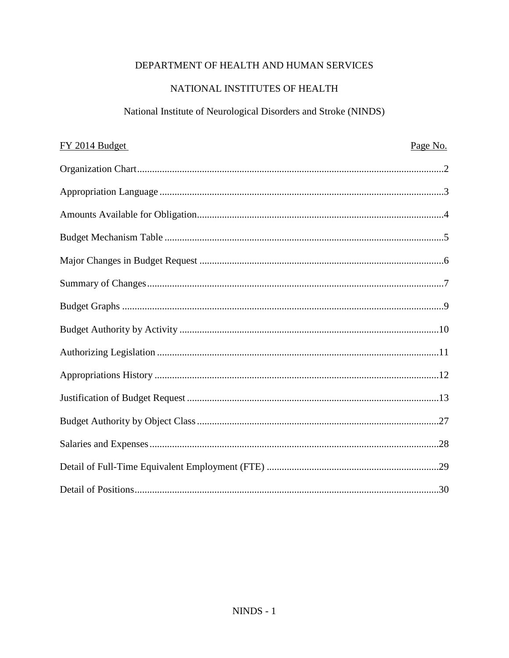## DEPARTMENT OF HEALTH AND HUMAN SERVICES

## NATIONAL INSTITUTES OF HEALTH

# National Institute of Neurological Disorders and Stroke (NINDS)

| FY 2014 Budget | Page No. |
|----------------|----------|
|                |          |
|                |          |
|                |          |
|                |          |
|                |          |
|                |          |
|                |          |
|                |          |
|                |          |
|                |          |
|                |          |
|                |          |
|                |          |
|                |          |
|                |          |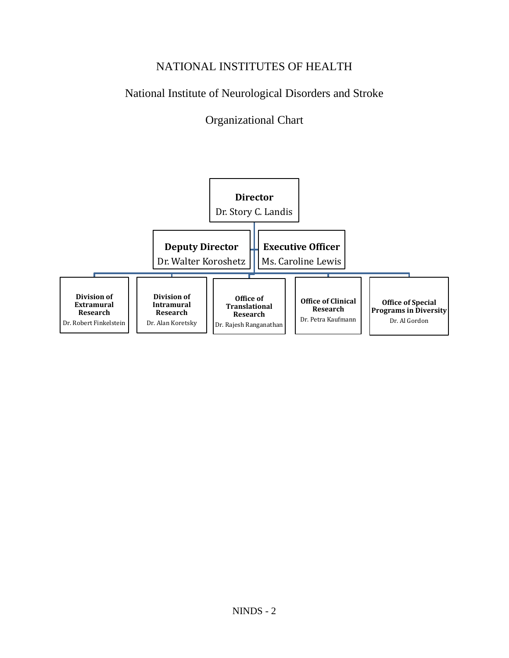# NATIONAL INSTITUTES OF HEALTH

# National Institute of Neurological Disorders and Stroke

# Organizational Chart

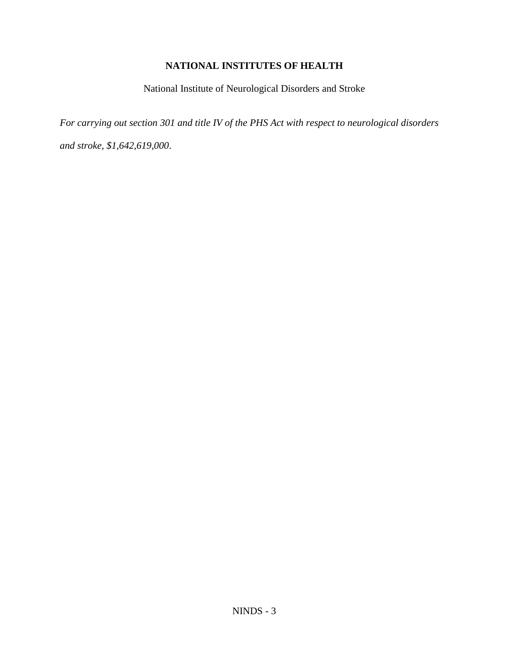## **NATIONAL INSTITUTES OF HEALTH**

National Institute of Neurological Disorders and Stroke

*For carrying out section 301 and title IV of the PHS Act with respect to neurological disorders and stroke, \$1,642,619,000*.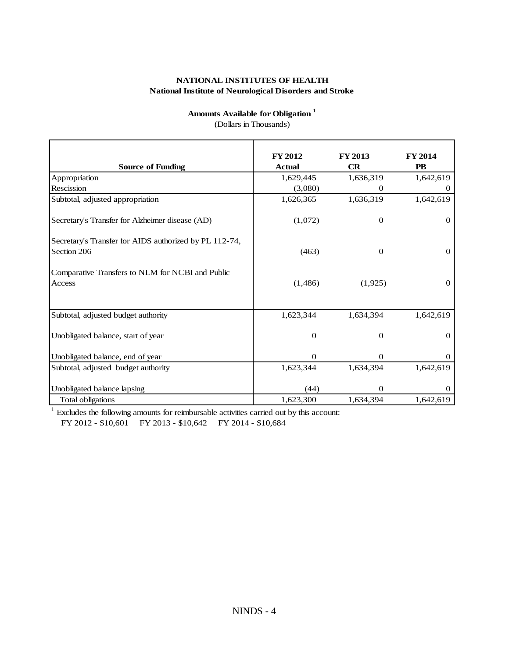## **Amounts Available for Obligation <sup>1</sup>**

| <b>Amounts Available for Obligation</b> <sup>1</sup><br>(Dollars in Thousands) |                          |                             |                      |
|--------------------------------------------------------------------------------|--------------------------|-----------------------------|----------------------|
| <b>Source of Funding</b>                                                       | FY 2012<br><b>Actual</b> | <b>FY 2013</b><br><b>CR</b> | FY 2014<br><b>PB</b> |
| Appropriation                                                                  | 1,629,445                | 1,636,319                   | 1,642,619            |
| Rescission                                                                     | (3,080)                  | $\theta$                    | $\theta$             |
| Subtotal, adjusted appropriation                                               | 1,626,365                | 1,636,319                   | 1,642,619            |
| Secretary's Transfer for Alzheimer disease (AD)                                | (1,072)                  | $\theta$                    | $\overline{0}$       |
| Secretary's Transfer for AIDS authorized by PL 112-74,<br>Section 206          | (463)                    | $\theta$                    | $\mathbf{0}$         |
| Comparative Transfers to NLM for NCBI and Public<br>Access                     | (1,486)                  | (1,925)                     | $\mathbf{0}$         |
| Subtotal, adjusted budget authority                                            | 1,623,344                | 1,634,394                   | 1,642,619            |
| Unobligated balance, start of year                                             | $\theta$                 | $\mathbf{0}$                | $\overline{0}$       |
| Unobligated balance, end of year                                               | $\Omega$                 | $\theta$                    | $\Omega$             |
| Subtotal, adjusted budget authority                                            | 1,623,344                | 1,634,394                   | 1,642,619            |
| Unobligated balance lapsing                                                    | (44)                     | $\overline{0}$              | $\Omega$             |
| <b>Total obligations</b>                                                       | 1,623,300                | 1,634,394                   | 1,642,619            |

FY 2012 - \$10,601 FY 2013 - \$10,642 FY 2014 - \$10,684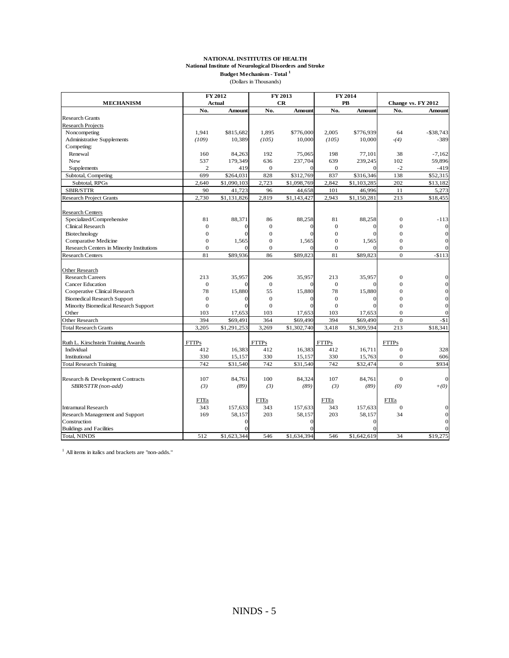#### **NATIONAL INSTITUTES OF HEALTH National Institute of Neurological Disorders and Stroke Budget Mechanism - Total <sup>1</sup>**

(Dollars in Thousands)

|                                           |                | FY 2012       |                  | FY 2013     |                | FY 2014       |                    |              |
|-------------------------------------------|----------------|---------------|------------------|-------------|----------------|---------------|--------------------|--------------|
| <b>MECHANISM</b>                          |                | <b>Actual</b> |                  | CR          |                | PB            | Change vs. FY 2012 |              |
|                                           | No.            | <b>Amount</b> | No.              | Amount      | No.            | <b>Amount</b> | No.                | Amount       |
| <b>Research Grants</b>                    |                |               |                  |             |                |               |                    |              |
| Research Projects                         |                |               |                  |             |                |               |                    |              |
| Noncompeting                              | 1,941          | \$815,682     | 1,895            | \$776,000   | 2,005          | \$776,939     | 64                 | $-$ \$38,743 |
| <b>Administrative Supplements</b>         | (109)          | 10,389        | (105)            | 10,000      | (105)          | 10,000        | $-(4)$             | $-389$       |
| Competing:                                |                |               |                  |             |                |               |                    |              |
| Renewal                                   | 160            | 84,263        | 192              | 75,065      | 198            | 77,101        | 38                 | $-7,162$     |
| New                                       | 537            | 179,349       | 636              | 237,704     | 639            | 239,245       | 102                | 59,896       |
| Supplements                               | $\overline{c}$ | 419           | $\mathbf{0}$     |             | $\mathbf{0}$   | $\Omega$      | $-2$               | $-419$       |
| Subtotal, Competing                       | 699            | \$264,031     | 828              | \$312,769   | 837            | \$316,346     | 138                | \$52,315     |
| Subtotal, RPGs                            | 2,640          | \$1,090,103   | 2,723            | \$1,098,769 | 2,842          | \$1,103,285   | 202                | \$13,182     |
| <b>SBIR/STTR</b>                          | 90             | 41,723        | 96               | 44,658      | 101            | 46,996        | 11                 | 5,273        |
| <b>Research Project Grants</b>            | 2,730          | \$1,131,826   | 2,819            | \$1,143,427 | 2,943          | \$1,150,281   | 213                | \$18,455     |
| <b>Research Centers</b>                   |                |               |                  |             |                |               |                    |              |
| Specialized/Comprehensive                 | 81             | 88,371        | 86               | 88,258      | 81             | 88,258        | $\mathbf{0}$       | $-113$       |
| Clinical Research                         | $\overline{0}$ |               | $\mathbf{0}$     |             | $\overline{0}$ |               | $\Omega$           |              |
| Biotechnology                             | $\mathbf{0}$   |               | $\mathbf{0}$     | 0           | $\mathbf{0}$   | $\Omega$      | $\Omega$           |              |
|                                           | $\overline{0}$ | 1,565         | $\boldsymbol{0}$ | 1,565       | $\overline{0}$ | 1,565         | $\mathbf{0}$       |              |
| Comparative Medicine                      | $\overline{0}$ | $\Omega$      | $\mathbf{0}$     | $\Omega$    | $\overline{0}$ | $\Omega$      | $\Omega$           |              |
| Research Centers in Minority Institutions |                |               |                  |             |                |               | $\Omega$           |              |
| <b>Research Centers</b>                   | 81             | \$89,936      | 86               | \$89,823    | 81             | \$89,823      |                    | $-$113$      |
| Other Research                            |                |               |                  |             |                |               |                    |              |
| <b>Research Careers</b>                   | 213            | 35,957        | 206              | 35,957      | 213            | 35,957        | $\Omega$           |              |
| <b>Cancer Education</b>                   | $\overline{0}$ |               | $\mathbf{0}$     |             | $\overline{0}$ |               | $\Omega$           |              |
| Cooperative Clinical Research             | 78             | 15,880        | 55               | 15,880      | 78             | 15,880        | $\mathbf{0}$       |              |
| <b>Biomedical Research Support</b>        | $\overline{0}$ |               | $\mathbf{0}$     |             | $\overline{0}$ |               | $\Omega$           |              |
| Minority Biomedical Research Support      | $\theta$       |               | $\Omega$         |             | $\Omega$       |               | $\Omega$           |              |
| Other                                     | 103            | 17,653        | 103              | 17,653      | 103            | 17,653        | $\mathbf{0}$       |              |
| Other Research                            | 394            | \$69,491      | 364              | \$69,490    | 394            | \$69,490      | $\mathbf{0}$       | $-$1$        |
| <b>Total Research Grants</b>              | 3,205          | \$1,291,253   | 3,269            | \$1,302,740 | 3,418          | \$1,309,594   | 213                | \$18,341     |
| Ruth L. Kirschstein Training Awards       | <b>FTTPs</b>   |               | <b>FTTPs</b>     |             | <b>FTTPs</b>   |               | <b>FTTPs</b>       |              |
| Individual                                | 412            | 16,383        | 412              | 16,383      | 412            | 16,711        | $\mathbf{0}$       | 328          |
| Institutional                             | 330            | 15,157        | 330              | 15,157      | 330            | 15,763        | $\mathbf{0}$       | 606          |
| <b>Total Research Training</b>            | 742            | \$31,540      | 742              | \$31,540    | 742            | \$32,474      | $\Omega$           | \$934        |
|                                           |                |               |                  |             |                |               |                    |              |
| Research & Development Contracts          | 107            | 84,761        | 100              | 84,324      | 107            | 84,761        | $\bf{0}$           |              |
| SBIR/STTR (non-add)                       | (3)            | (89)          | (3)              | (89)        | (3)            | (89)          | (0)                | $+(0)$       |
|                                           | <b>FTEs</b>    |               | <b>FTEs</b>      |             | <b>FTEs</b>    |               | <b>FTEs</b>        |              |
| <b>Intramural Research</b>                | 343            | 157,633       | 343              | 157,633     | 343            | 157,633       | $\mathbf{0}$       |              |
| Research Management and Support           | 169            | 58,157        | 203              | 58,157      | 203            | 58,157        | 34                 |              |
| Construction                              |                |               |                  |             |                | $\Omega$      |                    |              |
| <b>Buildings and Facilities</b>           |                |               |                  |             |                |               |                    |              |
| <b>Total, NINDS</b>                       | 512            | \$1,623,344   | 546              | \$1,634,394 | 546            | \$1,642,619   | 34                 | \$19,275     |

1 All items in italics and brackets are "non-adds."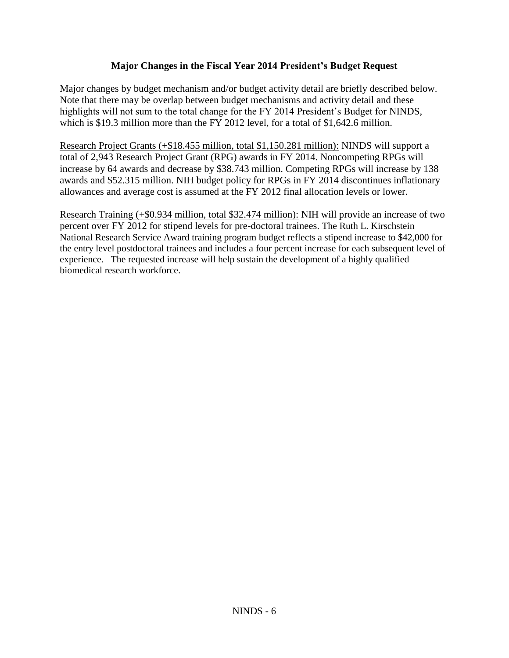## **Major Changes in the Fiscal Year 2014 President's Budget Request**

Major changes by budget mechanism and/or budget activity detail are briefly described below. Note that there may be overlap between budget mechanisms and activity detail and these highlights will not sum to the total change for the FY 2014 President's Budget for NINDS, which is \$19.3 million more than the FY 2012 level, for a total of \$1,642.6 million.

Research Project Grants (+\$18.455 million, total \$1,150.281 million): NINDS will support a total of 2,943 Research Project Grant (RPG) awards in FY 2014. Noncompeting RPGs will increase by 64 awards and decrease by \$38.743 million. Competing RPGs will increase by 138 awards and \$52.315 million. NIH budget policy for RPGs in FY 2014 discontinues inflationary allowances and average cost is assumed at the FY 2012 final allocation levels or lower.

Research Training (+\$0.934 million, total \$32.474 million): NIH will provide an increase of two percent over FY 2012 for stipend levels for pre-doctoral trainees. The Ruth L. Kirschstein National Research Service Award training program budget reflects a stipend increase to \$42,000 for the entry level postdoctoral trainees and includes a four percent increase for each subsequent level of experience. The requested increase will help sustain the development of a highly qualified biomedical research workforce.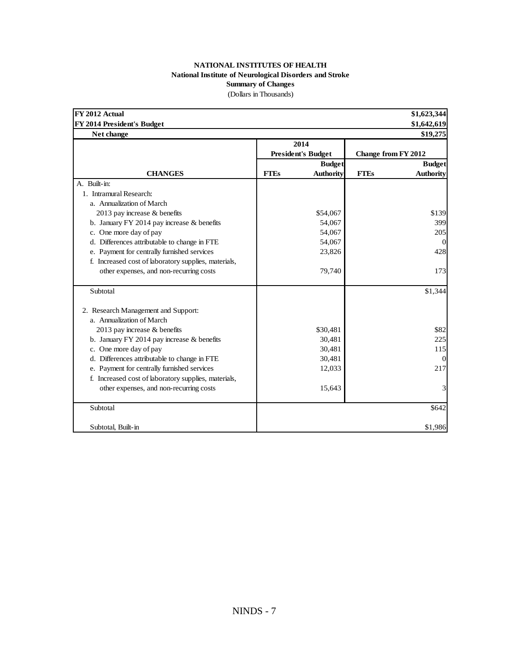#### **NATIONAL INSTITUTES OF HEALTH National Institute of Neurological Disorders and Stroke Summary of Changes** (Dollars in Thousands)

| FY 2012 Actual                                       |             |                           |                            | \$1,623,344      |
|------------------------------------------------------|-------------|---------------------------|----------------------------|------------------|
| FY 2014 President's Budget                           |             |                           |                            | \$1,642,619      |
| Net change                                           |             |                           |                            | \$19,275         |
|                                                      |             | 2014                      |                            |                  |
|                                                      |             | <b>President's Budget</b> | <b>Change from FY 2012</b> |                  |
|                                                      |             | <b>Budget</b>             |                            | <b>Budget</b>    |
| <b>CHANGES</b>                                       | <b>FTEs</b> | <b>Authority</b>          | <b>FTEs</b>                | <b>Authority</b> |
| A. Built-in:                                         |             |                           |                            |                  |
| 1. Intramural Research:                              |             |                           |                            |                  |
| a. Annualization of March                            |             |                           |                            |                  |
| 2013 pay increase & benefits                         |             | \$54,067                  |                            | \$139            |
| b. January FY 2014 pay increase $&$ benefits         |             | 54,067                    |                            | 399              |
| c. One more day of pay                               |             | 54,067                    |                            | 205              |
| d. Differences attributable to change in FTE         |             | 54,067                    |                            | $\Omega$         |
| e. Payment for centrally furnished services          |             | 23,826                    |                            | 428              |
| f. Increased cost of laboratory supplies, materials, |             |                           |                            |                  |
| other expenses, and non-recurring costs              |             | 79,740                    |                            | 173              |
| Subtotal                                             |             |                           |                            | \$1,344          |
| 2. Research Management and Support:                  |             |                           |                            |                  |
| a. Annualization of March                            |             |                           |                            |                  |
| 2013 pay increase & benefits                         |             | \$30,481                  |                            | \$82             |
| b. January FY 2014 pay increase $&$ benefits         |             | 30,481                    |                            | 225              |
| c. One more day of pay                               |             | 30,481                    |                            | 115              |
| d. Differences attributable to change in FTE         |             | 30,481                    |                            | $\Omega$         |
| e. Payment for centrally furnished services          |             | 12,033                    |                            | 217              |
| f. Increased cost of laboratory supplies, materials, |             |                           |                            |                  |
| other expenses, and non-recurring costs              |             | 15,643                    |                            | 3                |
| Subtotal                                             |             |                           |                            | \$642            |
| Subtotal, Built-in                                   |             |                           |                            | \$1,986          |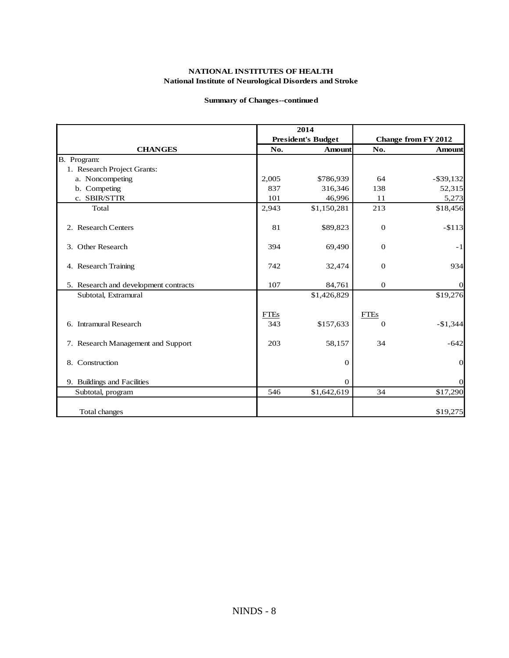#### **Summary of Changes--continued**

|                                       |             | 2014                      |              |                            |
|---------------------------------------|-------------|---------------------------|--------------|----------------------------|
|                                       |             | <b>President's Budget</b> |              | <b>Change from FY 2012</b> |
| <b>CHANGES</b>                        | No.         | <b>Amount</b>             | No.          | Amount                     |
| B. Program:                           |             |                           |              |                            |
| 1. Research Project Grants:           |             |                           |              |                            |
| a. Noncompeting                       | 2,005       | \$786,939                 | 64           | $-$ \$39,132               |
| b. Competing                          | 837         | 316,346                   | 138          | 52,315                     |
| c. SBIR/STTR                          | 101         | 46,996                    | 11           | 5,273                      |
| Total                                 | 2,943       | \$1,150,281               | 213          | \$18,456                   |
| 2. Research Centers                   | 81          | \$89,823                  | $\mathbf 0$  | $-$113$                    |
| 3. Other Research                     | 394         | 69,490                    | $\mathbf{0}$ | $-1$                       |
| 4. Research Training                  | 742         | 32,474                    | $\mathbf{0}$ | 934                        |
| 5. Research and development contracts | 107         | 84,761                    | $\mathbf{0}$ | $\Omega$                   |
| Subtotal, Extramural                  |             | \$1,426,829               |              | \$19,276                   |
|                                       | <b>FTEs</b> |                           | <b>FTEs</b>  |                            |
| 6. Intramural Research                | 343         | \$157,633                 | $\Omega$     | $-$1,344$                  |
| 7. Research Management and Support    | 203         | 58,157                    | 34           | $-642$                     |
| 8. Construction                       |             | 0                         |              | $\mathbf{0}$               |
| 9. Buildings and Facilities           |             | 0                         |              | $\overline{0}$             |
| Subtotal, program                     | 546         | \$1,642,619               | 34           | \$17,290                   |
| Total changes                         |             |                           |              | \$19,275                   |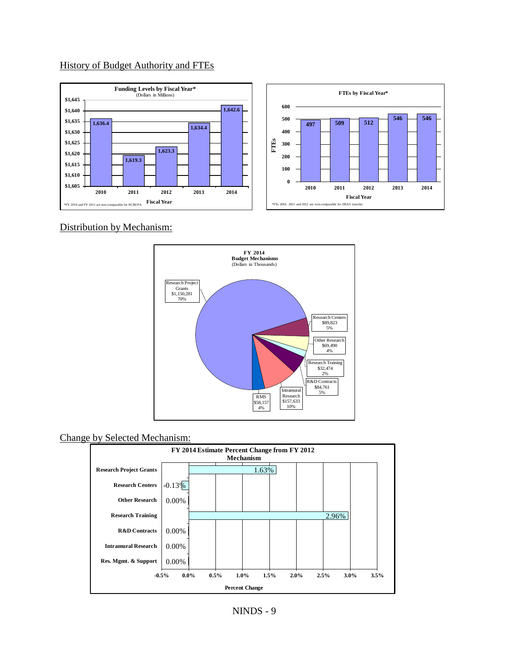## History of Budget Authority and FTEs



Distribution by Mechanism:



### Change by Selected Mechanism:

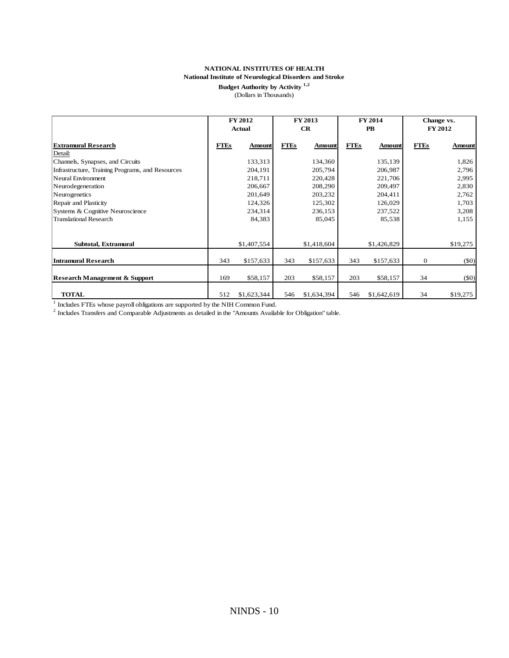## **Budget Authority by Activity 1,2**

(Dollars in Thousands)

|                                                                                                                                                                                                                          |             | FY 2012<br>Actual |             | FY 2013<br>CR |             | FY 2014<br>${\bf P}{\bf B}$ | Change vs.       | FY 2012       |
|--------------------------------------------------------------------------------------------------------------------------------------------------------------------------------------------------------------------------|-------------|-------------------|-------------|---------------|-------------|-----------------------------|------------------|---------------|
| <b>Extramural Research</b>                                                                                                                                                                                               | <b>FTEs</b> | <b>Amount</b>     | <b>FTEs</b> | <b>Amount</b> | <b>FTEs</b> | <b>Amount</b>               | <b>FTEs</b>      | <b>Amount</b> |
| Detail:<br>Channels, Synapses, and Circuits                                                                                                                                                                              |             | 133,313           |             | 134,360       |             | 135,139                     |                  | 1,826         |
| Infrastructure, Training Programs, and Resources                                                                                                                                                                         |             | 204,191           |             | 205,794       |             | 206,987                     |                  | 2,796         |
| Neural Environment                                                                                                                                                                                                       |             | 218,711           |             | 220,428       |             | 221,706                     |                  | 2,995         |
| Neurodegeneration                                                                                                                                                                                                        |             | 206,667           |             | 208,290       |             | 209,497                     |                  | 2,830         |
| Neurogenetics                                                                                                                                                                                                            |             | 201,649           |             | 203,232       |             | 204,411                     |                  | 2,762         |
| Repair and Plasticity                                                                                                                                                                                                    |             | 124,326           |             | 125,302       |             | 126,029                     |                  | 1,703         |
| Systems & Cognitive Neuroscience                                                                                                                                                                                         |             | 234,314           |             | 236,153       |             | 237,522                     |                  | 3,208         |
| <b>Translational Research</b>                                                                                                                                                                                            |             | 84,383            |             | 85,045        |             | 85,538                      |                  | 1,155         |
| Subtotal, Extramural                                                                                                                                                                                                     |             | \$1,407,554       |             | \$1,418,604   |             | \$1,426,829                 |                  | \$19,275      |
| <b>Intramural Research</b>                                                                                                                                                                                               | 343         | \$157,633         | 343         | \$157,633     | 343         | \$157,633                   | $\boldsymbol{0}$ | $($ \$0 $)$   |
| <b>Research Management &amp; Support</b>                                                                                                                                                                                 | 169         | \$58,157          | 203         | \$58,157      | 203         | \$58,157                    | 34               | (50)          |
| <b>TOTAL</b>                                                                                                                                                                                                             | 512         | \$1,623,344       | 546         | \$1,634,394   | 546         | \$1,642,619                 | 34               | \$19,275      |
| $\mathbf{1}$<br>Includes FTEs whose payroll obligations are supported by the NIH Common Fund.<br><sup>2</sup> Includes Transfers and Comparable Adjustments as detailed in the "Amounts Available for Obligation" table. |             |                   |             |               |             |                             |                  |               |
|                                                                                                                                                                                                                          |             |                   |             |               |             |                             |                  |               |
|                                                                                                                                                                                                                          |             |                   |             |               |             |                             |                  |               |
|                                                                                                                                                                                                                          |             | $NINDS - 10$      |             |               |             |                             |                  |               |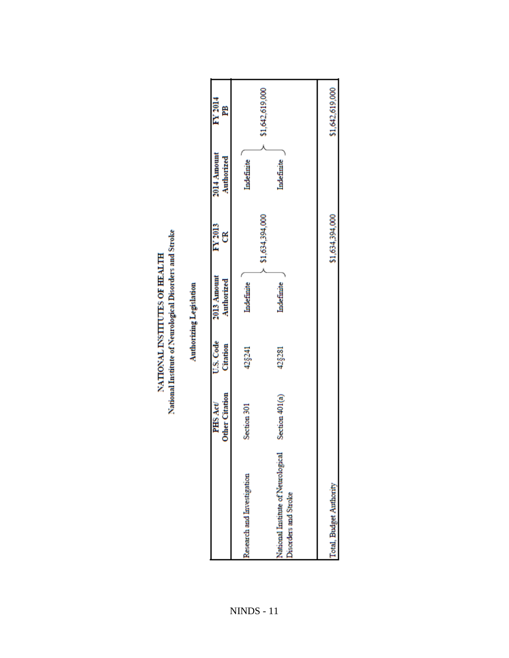|                                                            | <b>Other Citation</b><br>PHS Act | U.S. Code<br>Citation | 2013 Amount<br>Authorized | FY 2013<br>೮    | 2014 Amount<br>Authorized | FY 2014<br>PB   |
|------------------------------------------------------------|----------------------------------|-----------------------|---------------------------|-----------------|---------------------------|-----------------|
| Research and Investigation                                 | Section 301                      | 42§241                | Indefinite                |                 | Indefinite                |                 |
| National Institute of Neurological<br>Disorders and Stroke | Section 401(a)                   | 42§281                | Indefinite                | \$1,634,394,000 | Indefinite                | \$1,642,619,000 |
|                                                            |                                  |                       |                           |                 |                           |                 |
| Total, Budget Authority                                    |                                  |                       |                           | \$1,634,394,000 |                           | \$1,642,619,000 |

National Institute of Neurological Disorders and Stroke NATIONAL INSTITUTES OF HEALTH

Authorizing Legislation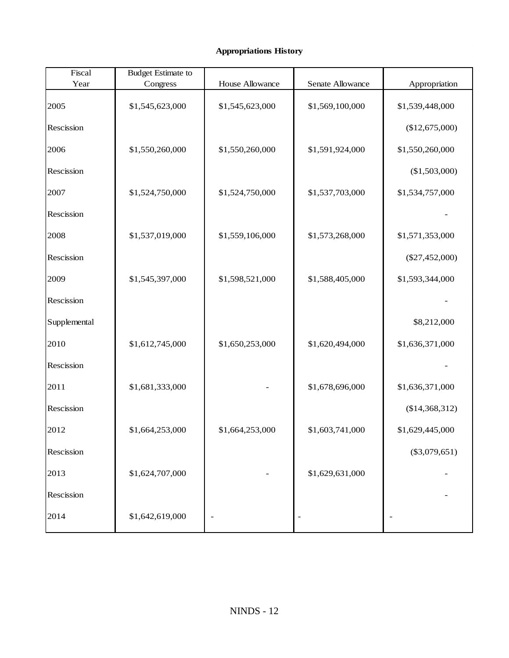### **Appropriations History**

| Fiscal       | <b>Budget Estimate to</b> |                 |                  |                  |
|--------------|---------------------------|-----------------|------------------|------------------|
| Year         | Congress                  | House Allowance | Senate Allowance | Appropriation    |
| 2005         | \$1,545,623,000           | \$1,545,623,000 | \$1,569,100,000  | \$1,539,448,000  |
| Rescission   |                           |                 |                  | (\$12,675,000)   |
| 2006         | \$1,550,260,000           | \$1,550,260,000 | \$1,591,924,000  | \$1,550,260,000  |
| Rescission   |                           |                 |                  | (\$1,503,000)    |
| 2007         | \$1,524,750,000           | \$1,524,750,000 | \$1,537,703,000  | \$1,534,757,000  |
| Rescission   |                           |                 |                  |                  |
| 2008         | \$1,537,019,000           | \$1,559,106,000 | \$1,573,268,000  | \$1,571,353,000  |
| Rescission   |                           |                 |                  | $(\$27,452,000)$ |
| 2009         | \$1,545,397,000           | \$1,598,521,000 | \$1,588,405,000  | \$1,593,344,000  |
| Rescission   |                           |                 |                  |                  |
| Supplemental |                           |                 |                  | \$8,212,000      |
| 2010         | \$1,612,745,000           | \$1,650,253,000 | \$1,620,494,000  | \$1,636,371,000  |
| Rescission   |                           |                 |                  |                  |
| 2011         | \$1,681,333,000           |                 | \$1,678,696,000  | \$1,636,371,000  |
| Rescission   |                           |                 |                  | (\$14,368,312)   |
| 2012         | \$1,664,253,000           | \$1,664,253,000 | \$1,603,741,000  | \$1,629,445,000  |
| Rescission   |                           |                 |                  | $(\$3,079,651)$  |
| 2013         | \$1,624,707,000           |                 | \$1,629,631,000  |                  |
| Rescission   |                           |                 |                  |                  |
| 2014         | \$1,642,619,000           |                 |                  |                  |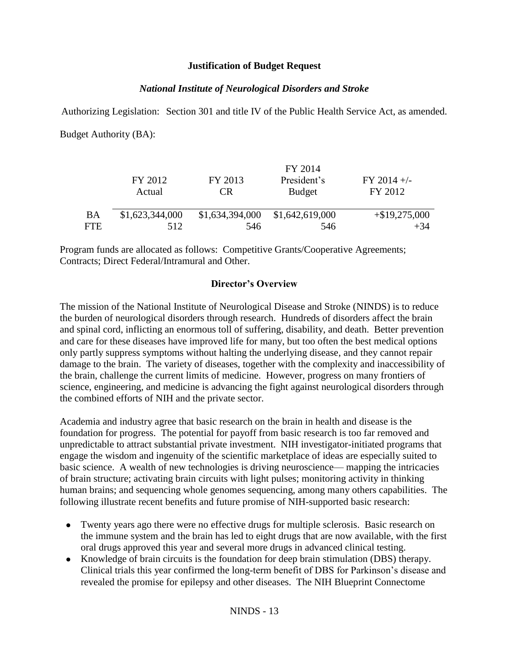## **Justification of Budget Request**

## *National Institute of Neurological Disorders and Stroke*

Authorizing Legislation: Section 301 and title IV of the Public Health Service Act, as amended. Budget Authority (BA):

|            |                 |                 | FY 2014         |                  |
|------------|-----------------|-----------------|-----------------|------------------|
|            | FY 2012         | FY 2013         | President's     | $FY$ 2014 +/-    |
|            | Actual          | CR              | <b>Budget</b>   | FY 2012          |
|            |                 |                 |                 |                  |
| BA         | \$1,623,344,000 | \$1,634,394,000 | \$1,642,619,000 | $+$ \$19,275,000 |
| <b>FTE</b> | 512             | 546             | 546             | $+34$            |

Program funds are allocated as follows: Competitive Grants/Cooperative Agreements; Contracts; Direct Federal/Intramural and Other.

## **Director's Overview**

The mission of the National Institute of Neurological Disease and Stroke (NINDS) is to reduce the burden of neurological disorders through research. Hundreds of disorders affect the brain and spinal cord, inflicting an enormous toll of suffering, disability, and death. Better prevention and care for these diseases have improved life for many, but too often the best medical options only partly suppress symptoms without halting the underlying disease, and they cannot repair damage to the brain. The variety of diseases, together with the complexity and inaccessibility of the brain, challenge the current limits of medicine. However, progress on many frontiers of science, engineering, and medicine is advancing the fight against neurological disorders through the combined efforts of NIH and the private sector.

Academia and industry agree that basic research on the brain in health and disease is the foundation for progress. The potential for payoff from basic research is too far removed and unpredictable to attract substantial private investment. NIH investigator-initiated programs that engage the wisdom and ingenuity of the scientific marketplace of ideas are especially suited to basic science. A wealth of new technologies is driving neuroscience— mapping the intricacies of brain structure; activating brain circuits with light pulses; monitoring activity in thinking human brains; and sequencing whole genomes sequencing, among many others capabilities. The following illustrate recent benefits and future promise of NIH-supported basic research:

- Twenty years ago there were no effective drugs for multiple sclerosis. Basic research on the immune system and the brain has led to eight drugs that are now available, with the first oral drugs approved this year and several more drugs in advanced clinical testing.
- Knowledge of brain circuits is the foundation for deep brain stimulation (DBS) therapy. Clinical trials this year confirmed the long-term benefit of DBS for Parkinson's disease and revealed the promise for epilepsy and other diseases. The NIH Blueprint Connectome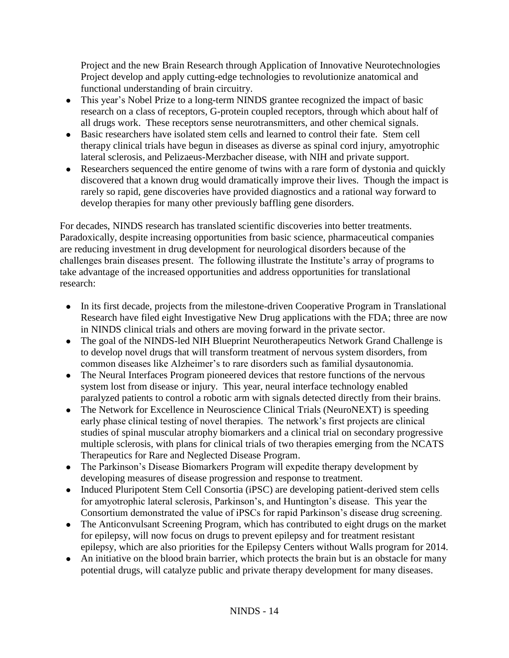Project and the new Brain Research through Application of Innovative Neurotechnologies Project develop and apply cutting-edge technologies to revolutionize anatomical and functional understanding of brain circuitry.

- This year's Nobel Prize to a long-term NINDS grantee recognized the impact of basic research on a class of receptors, G-protein coupled receptors, through which about half of all drugs work. These receptors sense neurotransmitters, and other chemical signals.
- Basic researchers have isolated stem cells and learned to control their fate. Stem cell therapy clinical trials have begun in diseases as diverse as spinal cord injury, amyotrophic lateral sclerosis, and Pelizaeus-Merzbacher disease, with NIH and private support.
- Researchers sequenced the entire genome of twins with a rare form of dystonia and quickly discovered that a known drug would dramatically improve their lives. Though the impact is rarely so rapid, gene discoveries have provided diagnostics and a rational way forward to develop therapies for many other previously baffling gene disorders.

For decades, NINDS research has translated scientific discoveries into better treatments. Paradoxically, despite increasing opportunities from basic science, pharmaceutical companies are reducing investment in drug development for neurological disorders because of the challenges brain diseases present. The following illustrate the Institute's array of programs to take advantage of the increased opportunities and address opportunities for translational research:

- In its first decade, projects from the milestone-driven Cooperative Program in Translational Research have filed eight Investigative New Drug applications with the FDA; three are now in NINDS clinical trials and others are moving forward in the private sector.
- The goal of the NINDS-led NIH Blueprint Neurotherapeutics Network Grand Challenge is to develop novel drugs that will transform treatment of nervous system disorders, from common diseases like Alzheimer's to rare disorders such as familial dysautonomia.
- The Neural Interfaces Program pioneered devices that restore functions of the nervous system lost from disease or injury. This year, neural interface technology enabled paralyzed patients to control a robotic arm with signals detected directly from their brains.
- The Network for Excellence in Neuroscience Clinical Trials (NeuroNEXT) is speeding early phase clinical testing of novel therapies. The network's first projects are clinical studies of spinal muscular atrophy biomarkers and a clinical trial on secondary progressive multiple sclerosis, with plans for clinical trials of two therapies emerging from the NCATS Therapeutics for Rare and Neglected Disease Program.
- The Parkinson's Disease Biomarkers Program will expedite therapy development by developing measures of disease progression and response to treatment.
- Induced Pluripotent Stem Cell Consortia (iPSC) are developing patient-derived stem cells for amyotrophic lateral sclerosis, Parkinson's, and Huntington's disease. This year the Consortium demonstrated the value of iPSCs for rapid Parkinson's disease drug screening.
- The Anticonvulsant Screening Program, which has contributed to eight drugs on the market for epilepsy, will now focus on drugs to prevent epilepsy and for treatment resistant epilepsy, which are also priorities for the Epilepsy Centers without Walls program for 2014.
- An initiative on the blood brain barrier, which protects the brain but is an obstacle for many potential drugs, will catalyze public and private therapy development for many diseases.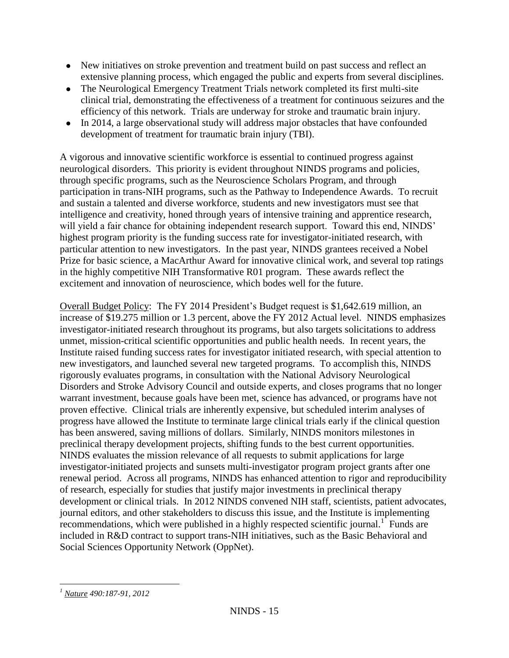- New initiatives on stroke prevention and treatment build on past success and reflect an extensive planning process, which engaged the public and experts from several disciplines.
- The Neurological Emergency Treatment Trials network completed its first multi-site clinical trial, demonstrating the effectiveness of a treatment for continuous seizures and the efficiency of this network. Trials are underway for stroke and traumatic brain injury.
- In 2014, a large observational study will address major obstacles that have confounded development of treatment for traumatic brain injury (TBI).

A vigorous and innovative scientific workforce is essential to continued progress against neurological disorders. This priority is evident throughout NINDS programs and policies, through specific programs, such as the Neuroscience Scholars Program, and through participation in trans-NIH programs, such as the Pathway to Independence Awards. To recruit and sustain a talented and diverse workforce, students and new investigators must see that intelligence and creativity, honed through years of intensive training and apprentice research, will yield a fair chance for obtaining independent research support. Toward this end, NINDS' highest program priority is the funding success rate for investigator-initiated research, with particular attention to new investigators. In the past year, NINDS grantees received a Nobel Prize for basic science, a MacArthur Award for innovative clinical work, and several top ratings in the highly competitive NIH Transformative R01 program. These awards reflect the excitement and innovation of neuroscience, which bodes well for the future.

Overall Budget Policy: The FY 2014 President's Budget request is \$1,642.619 million, an increase of \$19.275 million or 1.3 percent, above the FY 2012 Actual level. NINDS emphasizes investigator-initiated research throughout its programs, but also targets solicitations to address unmet, mission-critical scientific opportunities and public health needs. In recent years, the Institute raised funding success rates for investigator initiated research, with special attention to new investigators, and launched several new targeted programs. To accomplish this, NINDS rigorously evaluates programs, in consultation with the National Advisory Neurological Disorders and Stroke Advisory Council and outside experts, and closes programs that no longer warrant investment, because goals have been met, science has advanced, or programs have not proven effective. Clinical trials are inherently expensive, but scheduled interim analyses of progress have allowed the Institute to terminate large clinical trials early if the clinical question has been answered, saving millions of dollars. Similarly, NINDS monitors milestones in preclinical therapy development projects, shifting funds to the best current opportunities. NINDS evaluates the mission relevance of all requests to submit applications for large investigator-initiated projects and sunsets multi-investigator program project grants after one renewal period. Across all programs, NINDS has enhanced attention to rigor and reproducibility of research, especially for studies that justify major investments in preclinical therapy development or clinical trials. In 2012 NINDS convened NIH staff, scientists, patient advocates, journal editors, and other stakeholders to discuss this issue, and the Institute is implementing recommendations, which were published in a highly respected scientific journal.<sup>1</sup> Funds are included in R&D contract to support trans-NIH initiatives, such as the Basic Behavioral and Social Sciences Opportunity Network (OppNet).

 $\overline{a}$ *<sup>1</sup> Nature 490:187-91, 2012*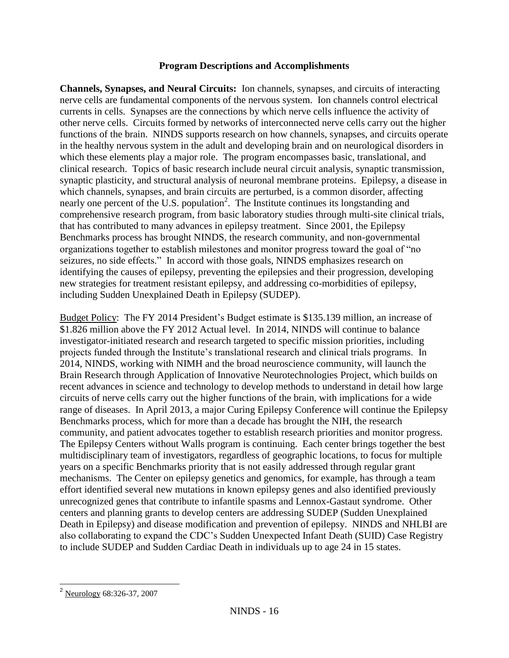## **Program Descriptions and Accomplishments**

**Channels, Synapses, and Neural Circuits:** Ion channels, synapses, and circuits of interacting nerve cells are fundamental components of the nervous system. Ion channels control electrical currents in cells. Synapses are the connections by which nerve cells influence the activity of other nerve cells. Circuits formed by networks of interconnected nerve cells carry out the higher functions of the brain. NINDS supports research on how channels, synapses, and circuits operate in the healthy nervous system in the adult and developing brain and on neurological disorders in which these elements play a major role. The program encompasses basic, translational, and clinical research. Topics of basic research include neural circuit analysis, synaptic transmission, synaptic plasticity, and structural analysis of neuronal membrane proteins. Epilepsy, a disease in which channels, synapses, and brain circuits are perturbed, is a common disorder, affecting nearly one percent of the U.S. population<sup>2</sup>. The Institute continues its longstanding and comprehensive research program, from basic laboratory studies through multi-site clinical trials, that has contributed to many advances in epilepsy treatment. Since 2001, the Epilepsy Benchmarks process has brought NINDS, the research community, and non-governmental organizations together to establish milestones and monitor progress toward the goal of "no seizures, no side effects." In accord with those goals, NINDS emphasizes research on identifying the causes of epilepsy, preventing the epilepsies and their progression, developing new strategies for treatment resistant epilepsy, and addressing co-morbidities of epilepsy, including Sudden Unexplained Death in Epilepsy (SUDEP).

Budget Policy: The FY 2014 President's Budget estimate is \$135.139 million, an increase of \$1.826 million above the FY 2012 Actual level. In 2014, NINDS will continue to balance investigator-initiated research and research targeted to specific mission priorities, including projects funded through the Institute's translational research and clinical trials programs. In 2014, NINDS, working with NIMH and the broad neuroscience community, will launch the Brain Research through Application of Innovative Neurotechnologies Project, which builds on recent advances in science and technology to develop methods to understand in detail how large circuits of nerve cells carry out the higher functions of the brain, with implications for a wide range of diseases. In April 2013, a major Curing Epilepsy Conference will continue the Epilepsy Benchmarks process, which for more than a decade has brought the NIH, the research community, and patient advocates together to establish research priorities and monitor progress. The Epilepsy Centers without Walls program is continuing. Each center brings together the best multidisciplinary team of investigators, regardless of geographic locations, to focus for multiple years on a specific Benchmarks priority that is not easily addressed through regular grant mechanisms. The Center on epilepsy genetics and genomics, for example, has through a team effort identified several new mutations in known epilepsy genes and also identified previously unrecognized genes that contribute to infantile spasms and Lennox-Gastaut syndrome. Other centers and planning grants to develop centers are addressing SUDEP (Sudden Unexplained Death in Epilepsy) and disease modification and prevention of epilepsy. NINDS and NHLBI are also collaborating to expand the CDC's Sudden Unexpected Infant Death (SUID) Case Registry to include SUDEP and Sudden Cardiac Death in individuals up to age 24 in 15 states.

 $\overline{\phantom{a}}$ 

<sup>2</sup> Neurology 68:326-37, 2007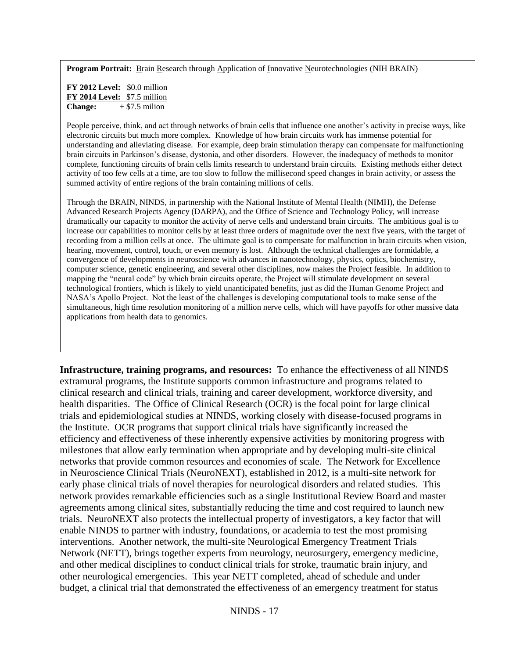**Program Portrait:** Brain Research through Application of Innovative Neurotechnologies (NIH BRAIN)

**FY 2012 Level:** \$0.0 million **FY 2014 Level:** \$7.5 million **Change:**  $+ $7.5$  milion

People perceive, think, and act through networks of brain cells that influence one another's activity in precise ways, like electronic circuits but much more complex. Knowledge of how brain circuits work has immense potential for understanding and alleviating disease. For example, deep brain stimulation therapy can compensate for malfunctioning brain circuits in Parkinson's disease, dystonia, and other disorders. However, the inadequacy of methods to monitor complete, functioning circuits of brain cells limits research to understand brain circuits. Existing methods either detect activity of too few cells at a time, are too slow to follow the millisecond speed changes in brain activity, or assess the summed activity of entire regions of the brain containing millions of cells.

Through the BRAIN, NINDS, in partnership with the National Institute of Mental Health (NIMH), the Defense Advanced Research Projects Agency (DARPA), and the Office of Science and Technology Policy, will increase dramatically our capacity to monitor the activity of nerve cells and understand brain circuits. The ambitious goal is to increase our capabilities to monitor cells by at least three orders of magnitude over the next five years, with the target of recording from a million cells at once. The ultimate goal is to compensate for malfunction in brain circuits when vision, hearing, movement, control, touch, or even memory is lost. Although the technical challenges are formidable, a convergence of developments in neuroscience with advances in nanotechnology, physics, optics, biochemistry, computer science, genetic engineering, and several other disciplines, now makes the Project feasible. In addition to mapping the "neural code" by which brain circuits operate, the Project will stimulate development on several technological frontiers, which is likely to yield unanticipated benefits, just as did the Human Genome Project and NASA's Apollo Project. Not the least of the challenges is developing computational tools to make sense of the simultaneous, high time resolution monitoring of a million nerve cells, which will have payoffs for other massive data applications from health data to genomics.

**Infrastructure, training programs, and resources:** To enhance the effectiveness of all NINDS extramural programs, the Institute supports common infrastructure and programs related to clinical research and clinical trials, training and career development, workforce diversity, and health disparities. The Office of Clinical Research (OCR) is the focal point for large clinical trials and epidemiological studies at NINDS, working closely with disease-focused programs in the Institute. OCR programs that support clinical trials have significantly increased the efficiency and effectiveness of these inherently expensive activities by monitoring progress with milestones that allow early termination when appropriate and by developing multi-site clinical networks that provide common resources and economies of scale. The Network for Excellence in Neuroscience Clinical Trials (NeuroNEXT), established in 2012, is a multi-site network for early phase clinical trials of novel therapies for neurological disorders and related studies. This network provides remarkable efficiencies such as a single Institutional Review Board and master agreements among clinical sites, substantially reducing the time and cost required to launch new trials. NeuroNEXT also protects the intellectual property of investigators, a key factor that will enable NINDS to partner with industry, foundations, or academia to test the most promising interventions. Another network, the multi-site Neurological Emergency Treatment Trials Network (NETT), brings together experts from neurology, neurosurgery, emergency medicine, and other medical disciplines to conduct clinical trials for stroke, traumatic brain injury, and other neurological emergencies. This year NETT completed, ahead of schedule and under budget, a clinical trial that demonstrated the effectiveness of an emergency treatment for status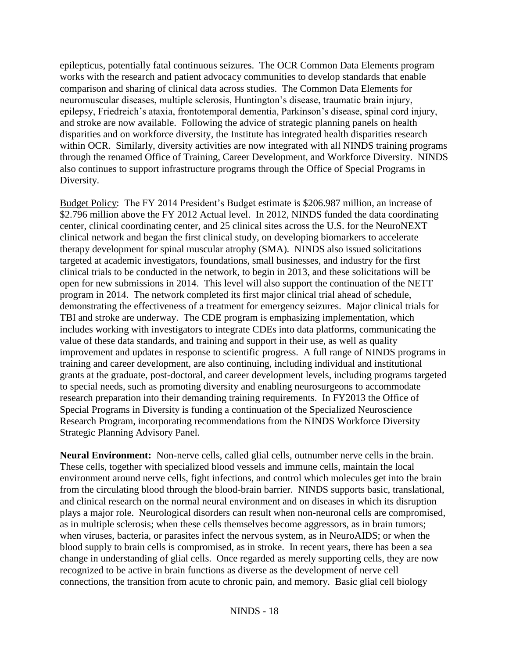epilepticus, potentially fatal continuous seizures. The OCR Common Data Elements program works with the research and patient advocacy communities to develop standards that enable comparison and sharing of clinical data across studies. The Common Data Elements for neuromuscular diseases, multiple sclerosis, Huntington's disease, traumatic brain injury, epilepsy, Friedreich's ataxia, frontotemporal dementia, Parkinson's disease, spinal cord injury, and stroke are now available. Following the advice of strategic planning panels on health disparities and on workforce diversity, the Institute has integrated health disparities research within OCR. Similarly, diversity activities are now integrated with all NINDS training programs through the renamed Office of Training, Career Development, and Workforce Diversity. NINDS also continues to support infrastructure programs through the Office of Special Programs in Diversity.

Budget Policy: The FY 2014 President's Budget estimate is \$206.987 million, an increase of \$2.796 million above the FY 2012 Actual level. In 2012, NINDS funded the data coordinating center, clinical coordinating center, and 25 clinical sites across the U.S. for the NeuroNEXT clinical network and began the first clinical study, on developing biomarkers to accelerate therapy development for spinal muscular atrophy (SMA). NINDS also issued solicitations targeted at academic investigators, foundations, small businesses, and industry for the first clinical trials to be conducted in the network, to begin in 2013, and these solicitations will be open for new submissions in 2014. This level will also support the continuation of the NETT program in 2014. The network completed its first major clinical trial ahead of schedule, demonstrating the effectiveness of a treatment for emergency seizures. Major clinical trials for TBI and stroke are underway. The CDE program is emphasizing implementation, which includes working with investigators to integrate CDEs into data platforms, communicating the value of these data standards, and training and support in their use, as well as quality improvement and updates in response to scientific progress. A full range of NINDS programs in training and career development, are also continuing, including individual and institutional grants at the graduate, post-doctoral, and career development levels, including programs targeted to special needs, such as promoting diversity and enabling neurosurgeons to accommodate research preparation into their demanding training requirements. In FY2013 the Office of Special Programs in Diversity is funding a continuation of the Specialized Neuroscience Research Program, incorporating recommendations from the NINDS Workforce Diversity Strategic Planning Advisory Panel.

**Neural Environment:** Non-nerve cells, called glial cells, outnumber nerve cells in the brain. These cells, together with specialized blood vessels and immune cells, maintain the local environment around nerve cells, fight infections, and control which molecules get into the brain from the circulating blood through the blood-brain barrier. NINDS supports basic, translational, and clinical research on the normal neural environment and on diseases in which its disruption plays a major role. Neurological disorders can result when non-neuronal cells are compromised, as in multiple sclerosis; when these cells themselves become aggressors, as in brain tumors; when viruses, bacteria, or parasites infect the nervous system, as in NeuroAIDS; or when the blood supply to brain cells is compromised, as in stroke. In recent years, there has been a sea change in understanding of glial cells. Once regarded as merely supporting cells, they are now recognized to be active in brain functions as diverse as the development of nerve cell connections, the transition from acute to chronic pain, and memory. Basic glial cell biology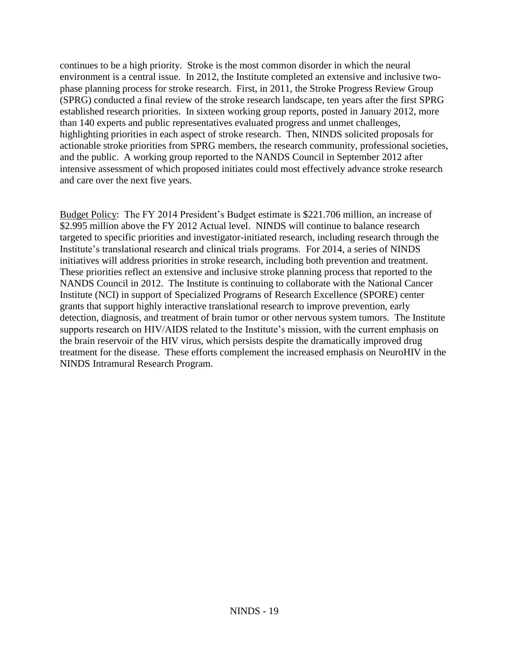continues to be a high priority. Stroke is the most common disorder in which the neural environment is a central issue. In 2012, the Institute completed an extensive and inclusive twophase planning process for stroke research. First, in 2011, the Stroke Progress Review Group (SPRG) conducted a final review of the stroke research landscape, ten years after the first SPRG established research priorities. In sixteen working group reports, posted in January 2012, more than 140 experts and public representatives evaluated progress and unmet challenges, highlighting priorities in each aspect of stroke research. Then, NINDS solicited proposals for actionable stroke priorities from SPRG members, the research community, professional societies, and the public. A working group reported to the NANDS Council in September 2012 after intensive assessment of which proposed initiates could most effectively advance stroke research and care over the next five years.

Budget Policy: The FY 2014 President's Budget estimate is \$221.706 million, an increase of \$2.995 million above the FY 2012 Actual level. NINDS will continue to balance research targeted to specific priorities and investigator-initiated research, including research through the Institute's translational research and clinical trials programs. For 2014, a series of NINDS initiatives will address priorities in stroke research, including both prevention and treatment. These priorities reflect an extensive and inclusive stroke planning process that reported to the NANDS Council in 2012. The Institute is continuing to collaborate with the National Cancer Institute (NCI) in support of Specialized Programs of Research Excellence (SPORE) center grants that support highly interactive translational research to improve prevention, early detection, diagnosis, and treatment of brain tumor or other nervous system tumors. The Institute supports research on HIV/AIDS related to the Institute's mission, with the current emphasis on the brain reservoir of the HIV virus, which persists despite the dramatically improved drug treatment for the disease. These efforts complement the increased emphasis on NeuroHIV in the NINDS Intramural Research Program.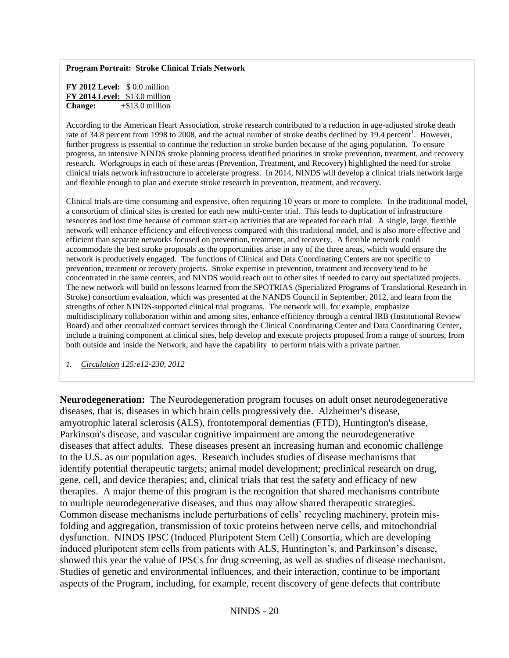#### **Program Portrait: Stroke Clinical Trials Network**

**FY 2012 Level:** \$ 0.0 million **FY 2014 Level:** \$13.0 million **Change:** +\$13.0 million

According to the American Heart Association, stroke research contributed to a reduction in age-adjusted stroke death rate of 34.8 percent from 1998 to 2008, and the actual number of stroke deaths declined by 19.4 percent<sup>1</sup>. However, further progress is essential to continue the reduction in stroke burden because of the aging population. To ensure progress, an intensive NINDS stroke planning process identified priorities in stroke prevention, treatment, and recovery research. Workgroups in each of these areas (Prevention, Treatment, and Recovery) highlighted the need for stroke clinical trials network infrastructure to accelerate progress. In 2014, NINDS will develop a clinical trials network large and flexible enough to plan and execute stroke research in prevention, treatment, and recovery.

Clinical trials are time consuming and expensive, often requiring 10 years or more to complete. In the traditional model, a consortium of clinical sites is created for each new multi-center trial. This leads to duplication of infrastructure resources and lost time because of common start-up activities that are repeated for each trial. A single, large, flexible network will enhance efficiency and effectiveness compared with this traditional model, and is also more effective and efficient than separate networks focused on prevention, treatment, and recovery. A flexible network could accommodate the best stroke proposals as the opportunities arise in any of the three areas, which would ensure the network is productively engaged. The functions of Clinical and Data Coordinating Centers are not specific to prevention, treatment or recovery projects. Stroke expertise in prevention, treatment and recovery tend to be concentrated in the same centers, and NINDS would reach out to other sites if needed to carry out specialized projects. The new network will build on lessons learned from the SPOTRIAS (Specialized Programs of Translational Research in Stroke) consortium evaluation, which was presented at the NANDS Council in September, 2012, and learn from the strengths of other NINDS-supported clinical trial programs. The network will, for example, emphasize multidisciplinary collaboration within and among sites, enhance efficiency through a central IRB (Institutional Review Board) and other centralized contract services through the Clinical Coordinating Center and Data Coordinating Center, include a training component at clinical sites, help develop and execute projects proposed from a range of sources, from both outside and inside the Network, and have the capability to perform trials with a private partner.

*1. Circulation 125:e12-230, 2012*

**Neurodegeneration:** The Neurodegeneration program focuses on adult onset neurodegenerative diseases, that is, diseases in which brain cells progressively die. Alzheimer's disease, amyotrophic lateral sclerosis (ALS), frontotemporal dementias (FTD), Huntington's disease, Parkinson's disease, and vascular cognitive impairment are among the neurodegenerative diseases that affect adults. These diseases present an increasing human and economic challenge to the U.S. as our population ages. Research includes studies of disease mechanisms that identify potential therapeutic targets; animal model development; preclinical research on drug, gene, cell, and device therapies; and, clinical trials that test the safety and efficacy of new therapies. A major theme of this program is the recognition that shared mechanisms contribute to multiple neurodegenerative diseases, and thus may allow shared therapeutic strategies. Common disease mechanisms include perturbations of cells' recycling machinery, protein misfolding and aggregation, transmission of toxic proteins between nerve cells, and mitochondrial dysfunction. NINDS IPSC (Induced Pluripotent Stem Cell) Consortia, which are developing induced pluripotent stem cells from patients with ALS, Huntington's, and Parkinson's disease, showed this year the value of IPSCs for drug screening, as well as studies of disease mechanism. Studies of genetic and environmental influences, and their interaction, continue to be important aspects of the Program, including, for example, recent discovery of gene defects that contribute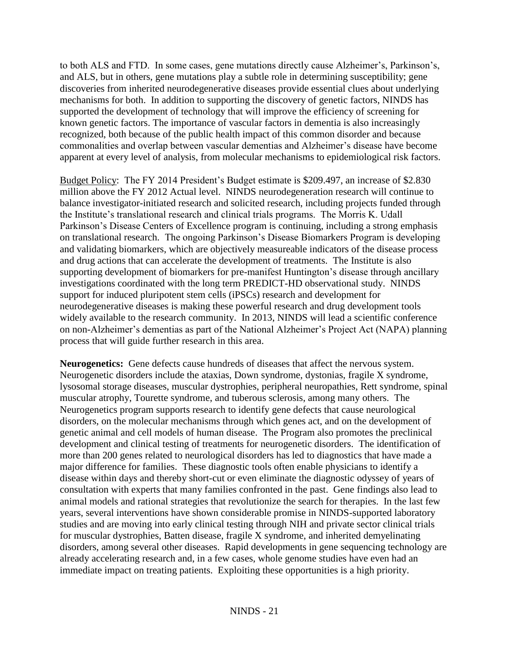to both ALS and FTD. In some cases, gene mutations directly cause Alzheimer's, Parkinson's, and ALS, but in others, gene mutations play a subtle role in determining susceptibility; gene discoveries from inherited neurodegenerative diseases provide essential clues about underlying mechanisms for both. In addition to supporting the discovery of genetic factors, NINDS has supported the development of technology that will improve the efficiency of screening for known genetic factors. The importance of vascular factors in dementia is also increasingly recognized, both because of the public health impact of this common disorder and because commonalities and overlap between vascular dementias and Alzheimer's disease have become apparent at every level of analysis, from molecular mechanisms to epidemiological risk factors.

Budget Policy: The FY 2014 President's Budget estimate is \$209.497, an increase of \$2.830 million above the FY 2012 Actual level. NINDS neurodegeneration research will continue to balance investigator-initiated research and solicited research, including projects funded through the Institute's translational research and clinical trials programs. The Morris K. Udall Parkinson's Disease Centers of Excellence program is continuing, including a strong emphasis on translational research. The ongoing Parkinson's Disease Biomarkers Program is developing and validating biomarkers, which are objectively measureable indicators of the disease process and drug actions that can accelerate the development of treatments. The Institute is also supporting development of biomarkers for pre-manifest Huntington's disease through ancillary investigations coordinated with the long term PREDICT-HD observational study. NINDS support for induced pluripotent stem cells (iPSCs) research and development for neurodegenerative diseases is making these powerful research and drug development tools widely available to the research community. In 2013, NINDS will lead a scientific conference on non-Alzheimer's dementias as part of the National Alzheimer's Project Act (NAPA) planning process that will guide further research in this area.

**Neurogenetics:** Gene defects cause hundreds of diseases that affect the nervous system. Neurogenetic disorders include the ataxias, Down syndrome, dystonias, fragile X syndrome, lysosomal storage diseases, muscular dystrophies, peripheral neuropathies, Rett syndrome, spinal muscular atrophy, Tourette syndrome, and tuberous sclerosis, among many others. The Neurogenetics program supports research to identify gene defects that cause neurological disorders, on the molecular mechanisms through which genes act, and on the development of genetic animal and cell models of human disease. The Program also promotes the preclinical development and clinical testing of treatments for neurogenetic disorders. The identification of more than 200 genes related to neurological disorders has led to diagnostics that have made a major difference for families. These diagnostic tools often enable physicians to identify a disease within days and thereby short-cut or even eliminate the diagnostic odyssey of years of consultation with experts that many families confronted in the past. Gene findings also lead to animal models and rational strategies that revolutionize the search for therapies. In the last few years, several interventions have shown considerable promise in NINDS-supported laboratory studies and are moving into early clinical testing through NIH and private sector clinical trials for muscular dystrophies, Batten disease, fragile X syndrome, and inherited demyelinating disorders, among several other diseases. Rapid developments in gene sequencing technology are already accelerating research and, in a few cases, whole genome studies have even had an immediate impact on treating patients. Exploiting these opportunities is a high priority.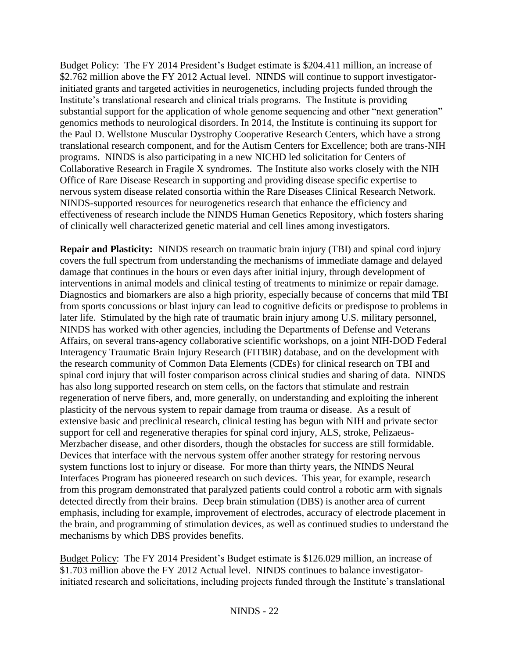Budget Policy: The FY 2014 President's Budget estimate is \$204.411 million, an increase of \$2.762 million above the FY 2012 Actual level. NINDS will continue to support investigatorinitiated grants and targeted activities in neurogenetics, including projects funded through the Institute's translational research and clinical trials programs. The Institute is providing substantial support for the application of whole genome sequencing and other "next generation" genomics methods to neurological disorders. In 2014, the Institute is continuing its support for the Paul D. Wellstone Muscular Dystrophy Cooperative Research Centers, which have a strong translational research component, and for the Autism Centers for Excellence; both are trans-NIH programs. NINDS is also participating in a new NICHD led solicitation for Centers of Collaborative Research in Fragile X syndromes. The Institute also works closely with the NIH Office of Rare Disease Research in supporting and providing disease specific expertise to nervous system disease related consortia within the Rare Diseases Clinical Research Network. NINDS-supported resources for neurogenetics research that enhance the efficiency and effectiveness of research include the NINDS Human Genetics Repository, which fosters sharing of clinically well characterized genetic material and cell lines among investigators.

**Repair and Plasticity:** NINDS research on traumatic brain injury (TBI) and spinal cord injury covers the full spectrum from understanding the mechanisms of immediate damage and delayed damage that continues in the hours or even days after initial injury, through development of interventions in animal models and clinical testing of treatments to minimize or repair damage. Diagnostics and biomarkers are also a high priority, especially because of concerns that mild TBI from sports concussions or blast injury can lead to cognitive deficits or predispose to problems in later life. Stimulated by the high rate of traumatic brain injury among U.S. military personnel, NINDS has worked with other agencies, including the Departments of Defense and Veterans Affairs, on several trans-agency collaborative scientific workshops, on a joint NIH-DOD Federal Interagency Traumatic Brain Injury Research (FITBIR) database, and on the development with the research community of Common Data Elements (CDEs) for clinical research on TBI and spinal cord injury that will foster comparison across clinical studies and sharing of data. NINDS has also long supported research on stem cells, on the factors that stimulate and restrain regeneration of nerve fibers, and, more generally, on understanding and exploiting the inherent plasticity of the nervous system to repair damage from trauma or disease. As a result of extensive basic and preclinical research, clinical testing has begun with NIH and private sector support for cell and regenerative therapies for spinal cord injury, ALS, stroke, Pelizaeus-Merzbacher disease, and other disorders, though the obstacles for success are still formidable. Devices that interface with the nervous system offer another strategy for restoring nervous system functions lost to injury or disease. For more than thirty years, the NINDS Neural Interfaces Program has pioneered research on such devices. This year, for example, research from this program demonstrated that paralyzed patients could control a robotic arm with signals detected directly from their brains. Deep brain stimulation (DBS) is another area of current emphasis, including for example, improvement of electrodes, accuracy of electrode placement in the brain, and programming of stimulation devices, as well as continued studies to understand the mechanisms by which DBS provides benefits.

Budget Policy: The FY 2014 President's Budget estimate is \$126.029 million, an increase of \$1.703 million above the FY 2012 Actual level. NINDS continues to balance investigatorinitiated research and solicitations, including projects funded through the Institute's translational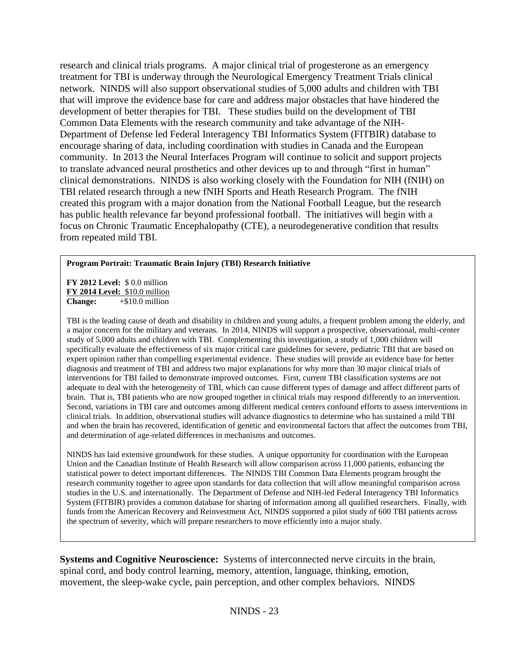research and clinical trials programs. A major clinical trial of progesterone as an emergency treatment for TBI is underway through the Neurological Emergency Treatment Trials clinical network. NINDS will also support observational studies of 5,000 adults and children with TBI that will improve the evidence base for care and address major obstacles that have hindered the development of better therapies for TBI. These studies build on the development of TBI Common Data Elements with the research community and take advantage of the NIH-Department of Defense led Federal Interagency TBI Informatics System (FITBIR) database to encourage sharing of data, including coordination with studies in Canada and the European community. In 2013 the Neural Interfaces Program will continue to solicit and support projects to translate advanced neural prosthetics and other devices up to and through "first in human" clinical demonstrations. NINDS is also working closely with the Foundation for NIH (fNIH) on TBI related research through a new fNIH Sports and Heath Research Program. The fNIH created this program with a major donation from the National Football League, but the research has public health relevance far beyond professional football. The initiatives will begin with a focus on Chronic Traumatic Encephalopathy (CTE), a neurodegenerative condition that results from repeated mild TBI.

### **Program Portrait: Traumatic Brain Injury (TBI) Research Initiative**

**FY 2012 Level:** \$ 0.0 million **FY 2014 Level:** \$10.0 million **Change:** +\$10.0 million

TBI is the leading cause of death and disability in children and young adults, a frequent problem among the elderly, and a major concern for the military and veterans. In 2014, NINDS will support a prospective, observational, multi-center study of 5,000 adults and children with TBI. Complementing this investigation, a study of 1,000 children will specifically evaluate the effectiveness of six major critical care guidelines for severe, pediatric TBI that are based on expert opinion rather than compelling experimental evidence. These studies will provide an evidence base for better diagnosis and treatment of TBI and address two major explanations for why more than 30 major clinical trials of interventions for TBI failed to demonstrate improved outcomes. First, current TBI classification systems are not adequate to deal with the heterogeneity of TBI, which can cause different types of damage and affect different parts of brain. That is, TBI patients who are now grouped together in clinical trials may respond differently to an intervention. Second, variations in TBI care and outcomes among different medical centers confound efforts to assess interventions in clinical trials. In addition, observational studies will advance diagnostics to determine who has sustained a mild TBI and when the brain has recovered, identification of genetic and environmental factors that affect the outcomes from TBI, and determination of age-related differences in mechanisms and outcomes.

NINDS has laid extensive groundwork for these studies. A unique opportunity for coordination with the European Union and the Canadian Institute of Health Research will allow comparison across 11,000 patients, enhancing the statistical power to detect important differences. The NINDS TBI Common Data Elements program brought the research community together to agree upon standards for data collection that will allow meaningful comparison across studies in the U.S. and internationally. The Department of Defense and NIH-led Federal Interagency TBI Informatics System (FITBIR) provides a common database for sharing of information among all qualified researchers. Finally, with funds from the American Recovery and Reinvestment Act, NINDS supported a pilot study of 600 TBI patients across the spectrum of severity, which will prepare researchers to move efficiently into a major study.

**Systems and Cognitive Neuroscience:** Systems of interconnected nerve circuits in the brain, spinal cord, and body control learning, memory, attention, language, thinking, emotion, movement, the sleep-wake cycle, pain perception, and other complex behaviors. NINDS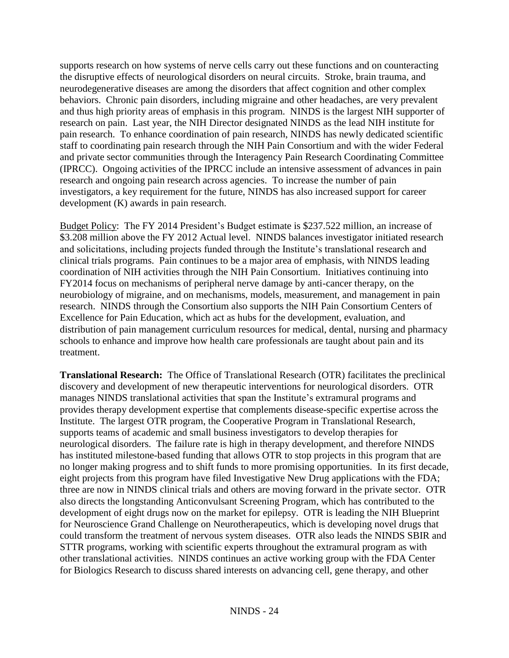supports research on how systems of nerve cells carry out these functions and on counteracting the disruptive effects of neurological disorders on neural circuits. Stroke, brain trauma, and neurodegenerative diseases are among the disorders that affect cognition and other complex behaviors. Chronic pain disorders, including migraine and other headaches, are very prevalent and thus high priority areas of emphasis in this program. NINDS is the largest NIH supporter of research on pain. Last year, the NIH Director designated NINDS as the lead NIH institute for pain research. To enhance coordination of pain research, NINDS has newly dedicated scientific staff to coordinating pain research through the NIH Pain Consortium and with the wider Federal and private sector communities through the Interagency Pain Research Coordinating Committee (IPRCC). Ongoing activities of the IPRCC include an intensive assessment of advances in pain research and ongoing pain research across agencies. To increase the number of pain investigators, a key requirement for the future, NINDS has also increased support for career development (K) awards in pain research.

Budget Policy: The FY 2014 President's Budget estimate is \$237.522 million, an increase of \$3.208 million above the FY 2012 Actual level. NINDS balances investigator initiated research and solicitations, including projects funded through the Institute's translational research and clinical trials programs. Pain continues to be a major area of emphasis, with NINDS leading coordination of NIH activities through the NIH Pain Consortium. Initiatives continuing into FY2014 focus on mechanisms of peripheral nerve damage by anti-cancer therapy, on the neurobiology of migraine, and on mechanisms, models, measurement, and management in pain research. NINDS through the Consortium also supports the NIH Pain Consortium Centers of Excellence for Pain Education, which act as hubs for the development, evaluation, and distribution of pain management curriculum resources for medical, dental, nursing and pharmacy schools to enhance and improve how health care professionals are taught about pain and its treatment.

**Translational Research:** The Office of Translational Research (OTR) facilitates the preclinical discovery and development of new therapeutic interventions for neurological disorders. OTR manages NINDS translational activities that span the Institute's extramural programs and provides therapy development expertise that complements disease-specific expertise across the Institute. The largest OTR program, the Cooperative Program in Translational Research, supports teams of academic and small business investigators to develop therapies for neurological disorders. The failure rate is high in therapy development, and therefore NINDS has instituted milestone-based funding that allows OTR to stop projects in this program that are no longer making progress and to shift funds to more promising opportunities. In its first decade, eight projects from this program have filed Investigative New Drug applications with the FDA; three are now in NINDS clinical trials and others are moving forward in the private sector. OTR also directs the longstanding Anticonvulsant Screening Program, which has contributed to the development of eight drugs now on the market for epilepsy. OTR is leading the NIH Blueprint for Neuroscience Grand Challenge on Neurotherapeutics, which is developing novel drugs that could transform the treatment of nervous system diseases. OTR also leads the NINDS SBIR and STTR programs, working with scientific experts throughout the extramural program as with other translational activities. NINDS continues an active working group with the FDA Center for Biologics Research to discuss shared interests on advancing cell, gene therapy, and other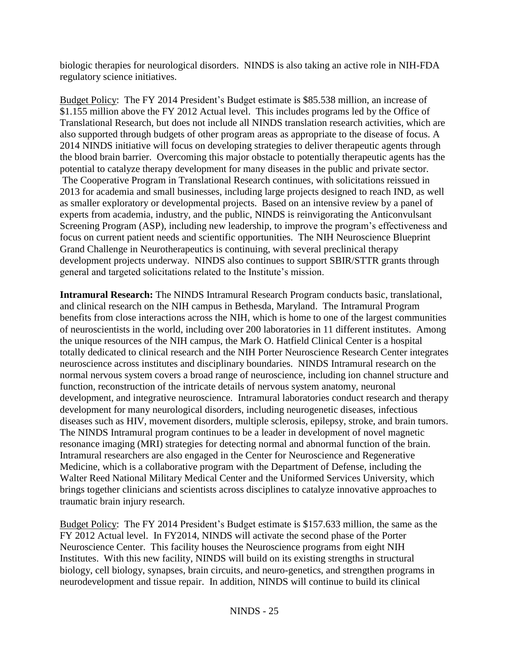biologic therapies for neurological disorders. NINDS is also taking an active role in NIH-FDA regulatory science initiatives.

Budget Policy: The FY 2014 President's Budget estimate is \$85.538 million, an increase of \$1.155 million above the FY 2012 Actual level. This includes programs led by the Office of Translational Research, but does not include all NINDS translation research activities, which are also supported through budgets of other program areas as appropriate to the disease of focus. A 2014 NINDS initiative will focus on developing strategies to deliver therapeutic agents through the blood brain barrier. Overcoming this major obstacle to potentially therapeutic agents has the potential to catalyze therapy development for many diseases in the public and private sector. The Cooperative Program in Translational Research continues, with solicitations reissued in 2013 for academia and small businesses, including large projects designed to reach IND, as well as smaller exploratory or developmental projects. Based on an intensive review by a panel of experts from academia, industry, and the public, NINDS is reinvigorating the Anticonvulsant Screening Program (ASP), including new leadership, to improve the program's effectiveness and focus on current patient needs and scientific opportunities. The NIH Neuroscience Blueprint Grand Challenge in Neurotherapeutics is continuing, with several preclinical therapy development projects underway. NINDS also continues to support SBIR/STTR grants through general and targeted solicitations related to the Institute's mission.

**Intramural Research:** The NINDS Intramural Research Program conducts basic, translational, and clinical research on the NIH campus in Bethesda, Maryland. The Intramural Program benefits from close interactions across the NIH, which is home to one of the largest communities of neuroscientists in the world, including over 200 laboratories in 11 different institutes. Among the unique resources of the NIH campus, the Mark O. Hatfield Clinical Center is a hospital totally dedicated to clinical research and the NIH Porter Neuroscience Research Center integrates neuroscience across institutes and disciplinary boundaries. NINDS Intramural research on the normal nervous system covers a broad range of neuroscience, including ion channel structure and function, reconstruction of the intricate details of nervous system anatomy, neuronal development, and integrative neuroscience. Intramural laboratories conduct research and therapy development for many neurological disorders, including neurogenetic diseases, infectious diseases such as HIV, movement disorders, multiple sclerosis, epilepsy, stroke, and brain tumors. The NINDS Intramural program continues to be a leader in development of novel magnetic resonance imaging (MRI) strategies for detecting normal and abnormal function of the brain. Intramural researchers are also engaged in the Center for Neuroscience and Regenerative Medicine, which is a collaborative program with the Department of Defense, including the Walter Reed National Military Medical Center and the Uniformed Services University, which brings together clinicians and scientists across disciplines to catalyze innovative approaches to traumatic brain injury research.

Budget Policy: The FY 2014 President's Budget estimate is \$157.633 million, the same as the FY 2012 Actual level. In FY2014, NINDS will activate the second phase of the Porter Neuroscience Center. This facility houses the Neuroscience programs from eight NIH Institutes. With this new facility, NINDS will build on its existing strengths in structural biology, cell biology, synapses, brain circuits, and neuro-genetics, and strengthen programs in neurodevelopment and tissue repair. In addition, NINDS will continue to build its clinical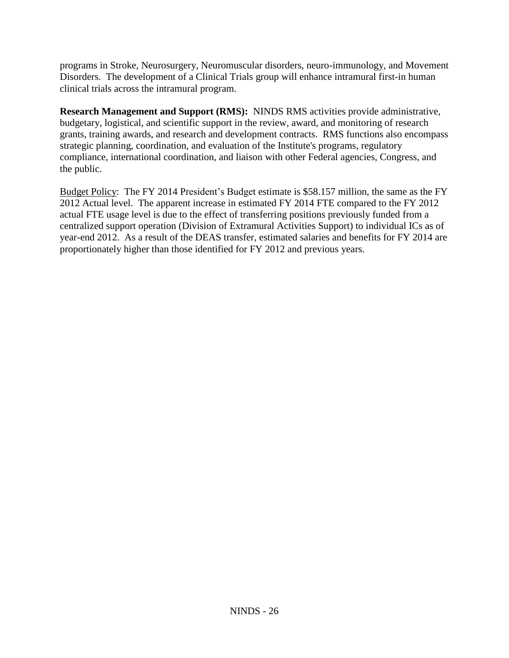programs in Stroke, Neurosurgery, Neuromuscular disorders, neuro-immunology, and Movement Disorders. The development of a Clinical Trials group will enhance intramural first-in human clinical trials across the intramural program.

**Research Management and Support (RMS):** NINDS RMS activities provide administrative, budgetary, logistical, and scientific support in the review, award, and monitoring of research grants, training awards, and research and development contracts. RMS functions also encompass strategic planning, coordination, and evaluation of the Institute's programs, regulatory compliance, international coordination, and liaison with other Federal agencies, Congress, and the public.

Budget Policy: The FY 2014 President's Budget estimate is \$58.157 million, the same as the FY 2012 Actual level. The apparent increase in estimated FY 2014 FTE compared to the FY 2012 actual FTE usage level is due to the effect of transferring positions previously funded from a centralized support operation (Division of Extramural Activities Support) to individual ICs as of year-end 2012. As a result of the DEAS transfer, estimated salaries and benefits for FY 2014 are proportionately higher than those identified for FY 2012 and previous years.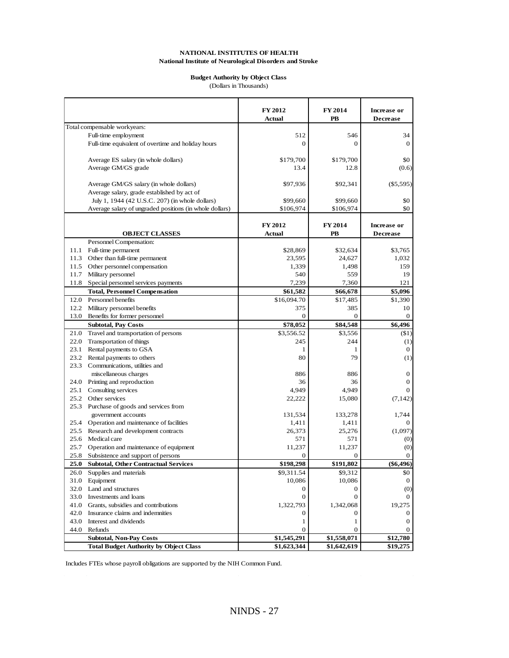### **Budget Authority by Object Class**

(Dollars in Thousands)

|      |                                                         | FY 2012<br><b>Actual</b> | <b>FY 2014</b><br>PB | <b>Increase</b> or<br><b>Decrease</b> |
|------|---------------------------------------------------------|--------------------------|----------------------|---------------------------------------|
|      | Total compensable workyears:                            |                          |                      |                                       |
|      | Full-time employment                                    | 512                      | 546                  | 34                                    |
|      | Full-time equivalent of overtime and holiday hours      | $\theta$                 | $\mathbf{0}$         | $\theta$                              |
|      |                                                         |                          |                      |                                       |
|      | Average ES salary (in whole dollars)                    | \$179,700                | \$179,700            | \$0                                   |
|      | Average GM/GS grade                                     | 13.4                     | 12.8                 | (0.6)                                 |
|      |                                                         |                          |                      |                                       |
|      | Average GM/GS salary (in whole dollars)                 | \$97,936                 | \$92,341             | $(\$5,595)$                           |
|      | Average salary, grade established by act of             |                          |                      |                                       |
|      | July 1, 1944 (42 U.S.C. 207) (in whole dollars)         | \$99,660                 | \$99,660             | \$0                                   |
|      | Average salary of ungraded positions (in whole dollars) | \$106,974                | \$106,974            | \$0                                   |
|      |                                                         |                          |                      |                                       |
|      |                                                         | <b>FY 2012</b>           | FY 2014              | <b>Increase or</b>                    |
|      | <b>OBJECT CLASSES</b>                                   | <b>Actual</b>            | PB                   | <b>Decrease</b>                       |
|      | Personnel Compensation:                                 |                          |                      |                                       |
|      | 11.1 Full-time permanent                                | \$28,869                 | \$32,634             | \$3,765                               |
|      | 11.3 Other than full-time permanent                     | 23,595                   | 24,627               | 1.032                                 |
|      | 11.5 Other personnel compensation                       | 1,339                    | 1,498                | 159                                   |
| 11.7 | Military personnel                                      | 540                      | 559                  | 19                                    |
|      | 11.8 Special personnel services payments                | 7,239                    | 7,360                | 121                                   |
|      | <b>Total, Personnel Compensation</b>                    | \$61,582                 | \$66,678             | \$5,096                               |
|      | 12.0 Personnel benefits                                 | \$16,094.70              | \$17,485             | \$1,390                               |
|      | 12.2 Military personnel benefits                        | 375                      | 385                  | 10                                    |
| 13.0 | Benefits for former personnel                           | $\mathbf{0}$             | $\overline{0}$       | $\Omega$                              |
|      | <b>Subtotal, Pay Costs</b>                              | \$78,052                 | \$84,548             | \$6,496                               |
| 21.0 | Travel and transportation of persons                    | \$3,556.52               | \$3,556              | ( \$1)                                |
| 22.0 | <b>Transportation of things</b>                         | 245                      | 244                  | (1)                                   |
|      | 23.1 Rental payments to GSA                             | 1                        | 1                    | $\theta$                              |
| 23.2 | Rental payments to others                               | 80                       | 79                   | (1)                                   |
| 23.3 | Communications, utilities and                           |                          |                      |                                       |
|      | miscellaneous charges                                   | 886                      | 886                  | 0                                     |
| 24.0 | Printing and reproduction                               | 36                       | 36                   | $\mathbf{0}$                          |
| 25.1 | Consulting services                                     | 4,949                    | 4,949                | $\Omega$                              |
| 25.2 | Other services                                          | 22,222                   | 15,080               | (7, 142)                              |
|      | 25.3 Purchase of goods and services from                |                          |                      |                                       |
|      | government accounts                                     | 131,534                  | 133,278              | 1,744                                 |
| 25.4 | Operation and maintenance of facilities                 | 1,411                    | 1,411                | 0                                     |
| 25.5 | Research and development contracts                      | 26,373                   | 25,276               | (1,097)                               |
|      | 25.6 Medical care                                       | 571                      | 571                  | $\left( 0\right)$                     |
| 25.7 | Operation and maintenance of equipment                  | 11,237                   | 11,237               | (0)                                   |
| 25.8 | Subsistence and support of persons                      | 0                        | $\mathbf{0}$         | $\theta$                              |
| 25.0 | <b>Subtotal, Other Contractual Services</b>             | \$198,298                | \$191,802            | $(\$6,496)$                           |
| 26.0 | Supplies and materials                                  | \$9,311.54               | \$9,312              | \$0                                   |
| 31.0 | Equipment                                               | 10,086                   | 10,086               | $\theta$                              |
|      | 32.0 Land and structures                                | 0                        | $\mathbf{0}$         | (0)                                   |
|      | 33.0 Investments and loans                              | $\mathbf{0}$             | $\mathbf{0}$         |                                       |
|      | 41.0 Grants, subsidies and contributions                | 1,322,793                | 1,342,068            | 19,275                                |
| 42.0 | Insurance claims and indemnities                        | 0                        | $\mathbf{0}$         | $\Omega$                              |
| 43.0 | Interest and dividends                                  | 1                        | 1                    | 0                                     |
|      | 44.0 Refunds                                            | $\mathbf{0}$             | $\mathbf{0}$         | $\Omega$                              |
|      | <b>Subtotal, Non-Pay Costs</b>                          | \$1,545,291              | \$1,558,071          | \$12,780                              |
|      | <b>Total Budget Authority by Object Class</b>           | \$1,623,344              | \$1,642,619          | \$19,275                              |

Includes FTEs whose payroll obligations are supported by the NIH Common Fund.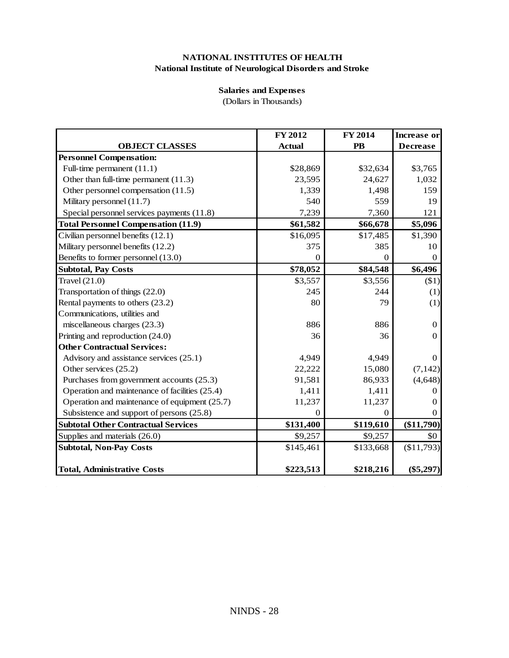## **Salaries and Expenses**

(Dollars in Thousands)

| <b>OBJECT CLASSES</b><br><b>Personnel Compensation:</b><br>Full-time permanent $(11.1)$ | <b>Actual</b> | FY 2014       | <b>Increase or</b> |
|-----------------------------------------------------------------------------------------|---------------|---------------|--------------------|
|                                                                                         |               | $\mathbf{PB}$ | <b>Decrease</b>    |
|                                                                                         |               |               |                    |
|                                                                                         | \$28,869      | \$32,634      | \$3,765            |
| Other than full-time permanent (11.3)                                                   | 23,595        | 24,627        | 1,032              |
| Other personnel compensation (11.5)                                                     | 1,339         | 1,498         | 159                |
| Military personnel (11.7)                                                               | 540           | 559           | 19                 |
| Special personnel services payments (11.8)                                              | 7,239         | 7,360         | 121                |
| <b>Total Personnel Compensation (11.9)</b>                                              | \$61,582      | \$66,678      | \$5,096            |
| Civilian personnel benefits (12.1)                                                      | \$16,095      | \$17,485      | \$1,390            |
| Military personnel benefits (12.2)                                                      | 375           | 385           | 10                 |
| Benefits to former personnel (13.0)                                                     | 0             | 0             | $\theta$           |
| <b>Subtotal, Pay Costs</b>                                                              | \$78,052      | \$84,548      | \$6,496            |
| Travel $(21.0)$                                                                         | \$3,557       | \$3,556       | $(\$1)$            |
| Transportation of things (22.0)                                                         | 245           | 244           | (1)                |
| Rental payments to others (23.2)                                                        | 80            | 79            | (1)                |
| Communications, utilities and                                                           |               |               |                    |
| miscellaneous charges (23.3)                                                            | 886           | 886           | $\theta$           |
| Printing and reproduction (24.0)                                                        | 36            | 36            | $\Omega$           |
| <b>Other Contractual Services:</b>                                                      |               |               |                    |
| Advisory and assistance services (25.1)                                                 | 4,949         | 4,949         | $\theta$           |
| Other services (25.2)                                                                   | 22,222        | 15,080        | (7, 142)           |
| Purchases from government accounts (25.3)                                               | 91,581        | 86,933        | (4, 648)           |
| Operation and maintenance of facilities (25.4)                                          | 1,411         | 1,411         | $^{()}$            |
| Operation and maintenance of equipment (25.7)                                           | 11,237        | 11,237        | $_{0}$             |
| Subsistence and support of persons (25.8)                                               | $\theta$      | $\Omega$      | 0                  |
| <b>Subtotal Other Contractual Services</b>                                              | \$131,400     | \$119,610     | $(\$11,790)$       |
| Supplies and materials (26.0)                                                           | \$9,257       | \$9,257       | \$0                |
| <b>Subtotal, Non-Pay Costs</b>                                                          | \$145,461     | \$133,668     | (\$11,793)         |
| <b>Total, Administrative Costs</b>                                                      | \$223,513     | \$218,216     | $(\$5,297)$        |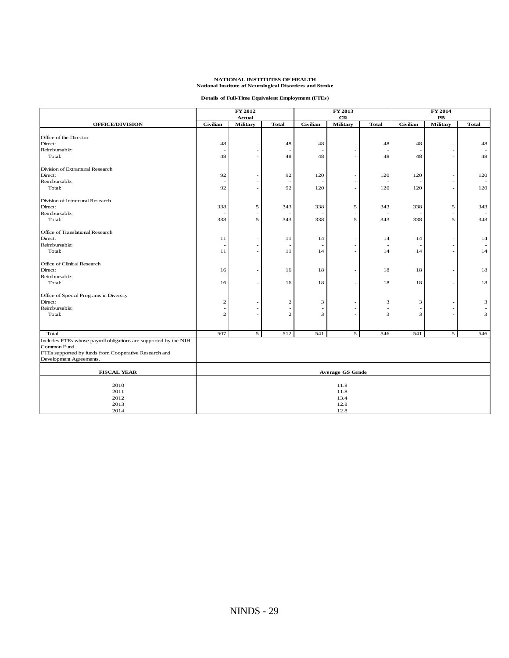|  |  | Details of Full-Time Equivalent Employment (FTEs) |  |
|--|--|---------------------------------------------------|--|
|  |  |                                                   |  |

|                                                                  |                 | FY 2012<br><b>Actual</b> |                | FY 2013<br>$_{\rm CR}$ |                 | FY 2014<br>$\mathbf{PB}$ |          |          |              |
|------------------------------------------------------------------|-----------------|--------------------------|----------------|------------------------|-----------------|--------------------------|----------|----------|--------------|
| <b>OFFICE/DIVISION</b>                                           | <b>Civilian</b> | <b>Military</b>          | <b>Total</b>   | <b>Civilian</b>        | <b>Military</b> | <b>Total</b>             | Civilian | Military | <b>Total</b> |
| Office of the Director                                           |                 |                          |                |                        |                 |                          |          |          |              |
| Direct:                                                          | 48              |                          | 48             | 48                     |                 | 48                       | 48       |          | 48           |
| Reimbursable:                                                    |                 |                          |                |                        |                 |                          |          |          |              |
| Total:                                                           | 48              |                          | 48             | 48                     |                 | 48                       | 48       |          | 48           |
|                                                                  |                 |                          |                |                        |                 |                          |          |          |              |
| Division of Extramural Research                                  |                 |                          |                |                        |                 |                          |          |          |              |
| Direct:                                                          | 92              |                          | 92             | 120                    |                 | 120                      | 120      |          | 120          |
| Reimbursable:                                                    |                 |                          |                |                        |                 |                          |          |          |              |
| Total:                                                           | 92              |                          | 92             | 120                    |                 | 120                      | 120      |          | 120          |
|                                                                  |                 |                          |                |                        |                 |                          |          |          |              |
| Division of Intramural Research                                  |                 |                          |                |                        |                 |                          |          |          |              |
| Direct:                                                          | 338             | 5                        | 343            | 338                    | 5               | 343                      | 338      | 5        | 343          |
| Reimbursable:                                                    |                 |                          |                |                        |                 |                          |          |          |              |
| Total:                                                           | 338             | 5                        | 343            | 338                    | 5               | 343                      | 338      | 5        | 343          |
| Office of Translational Research                                 |                 |                          |                |                        |                 |                          |          |          |              |
| Direct:                                                          | 11              |                          | 11             | 14                     |                 | 14                       | 14       |          | 14           |
| Reimbursable:                                                    |                 |                          |                |                        |                 |                          |          |          |              |
| Total:                                                           | 11              |                          | 11             | 14                     |                 | 14                       | 14       |          |              |
|                                                                  |                 |                          |                |                        |                 |                          |          |          | 14           |
| Office of Clinical Research                                      |                 |                          |                |                        |                 |                          |          |          |              |
| Direct:                                                          | 16              |                          | 16             | 18                     |                 | 18                       | 18       |          | 18           |
| Reimbursable:                                                    |                 |                          |                |                        |                 |                          |          |          |              |
| Total:                                                           | 16              |                          | 16             | 18                     |                 | 18                       | 18       |          | 18           |
| Office of Special Programs in Diversity                          |                 |                          |                |                        |                 |                          |          |          |              |
| Direct:                                                          | $\overline{2}$  |                          | $\mathbf{2}$   | 3                      |                 | 3                        | 3        |          | 3            |
| Reimbursable:                                                    |                 |                          |                | $\overline{a}$         |                 |                          |          |          |              |
| Total:                                                           | $\mathbf{2}$    |                          | $\overline{c}$ | 3                      |                 | 3                        | 3        |          | 3            |
|                                                                  |                 |                          |                |                        |                 |                          |          |          |              |
|                                                                  |                 |                          |                |                        |                 |                          |          |          |              |
| Total                                                            | 507             | 5 <sup>1</sup>           | 512            | 541                    | 5               | 546                      | 541      | 5        | 546          |
| Includes FTEs whose payroll obligations are supported by the NIH |                 |                          |                |                        |                 |                          |          |          |              |
| Common Fund.                                                     |                 |                          |                |                        |                 |                          |          |          |              |
| FTEs supported by funds from Cooperative Research and            |                 |                          |                |                        |                 |                          |          |          |              |
| Development Agreements.                                          |                 |                          |                |                        |                 |                          |          |          |              |
| <b>FISCAL YEAR</b>                                               |                 | <b>Average GS Grade</b>  |                |                        |                 |                          |          |          |              |
|                                                                  |                 |                          |                |                        |                 |                          |          |          |              |
| 2010                                                             |                 | 11.8                     |                |                        |                 |                          |          |          |              |
| 2011                                                             |                 | 11.8                     |                |                        |                 |                          |          |          |              |
| 2012                                                             |                 | 13.4                     |                |                        |                 |                          |          |          |              |
| 2013                                                             |                 | 12.8                     |                |                        |                 |                          |          |          |              |
| 2014                                                             | 12.8            |                          |                |                        |                 |                          |          |          |              |